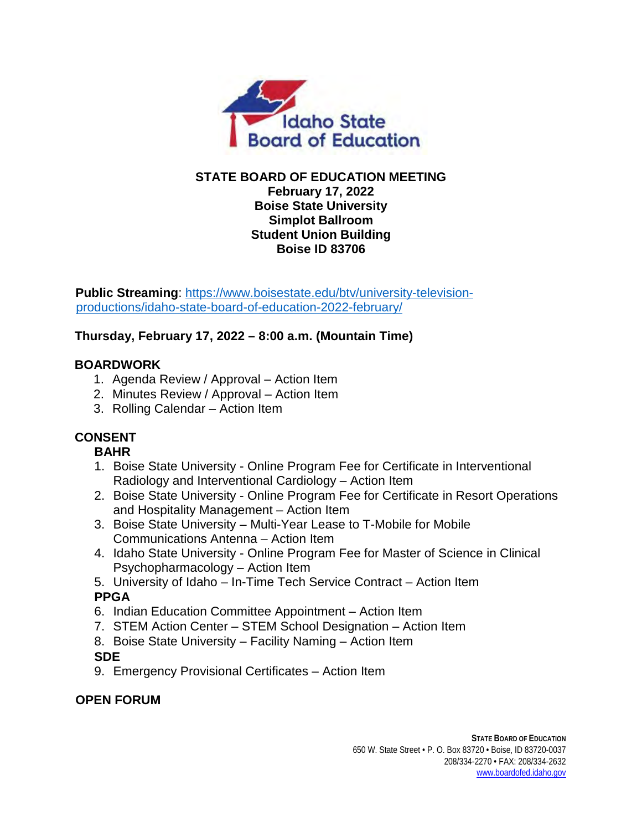

#### **STATE BOARD OF EDUCATION MEETING February 17, 2022 Boise State University Simplot Ballroom Student Union Building Boise ID 83706**

**Public Streaming**: [https://www.boisestate.edu/btv/university-television](https://www.boisestate.edu/btv/university-television-productions/idaho-state-board-of-education-2022-february/)[productions/idaho-state-board-of-education-2022-february/](https://www.boisestate.edu/btv/university-television-productions/idaho-state-board-of-education-2022-february/)

# **Thursday, February 17, 2022 – 8:00 a.m. (Mountain Time)**

#### **BOARDWORK**

- 1. Agenda Review / Approval Action Item
- 2. Minutes Review / Approval Action Item
- 3. Rolling Calendar Action Item

# **CONSENT**

### **BAHR**

- 1. Boise State University Online Program Fee for Certificate in Interventional Radiology and Interventional Cardiology – Action Item
- 2. Boise State University Online Program Fee for Certificate in Resort Operations and Hospitality Management – Action Item
- 3. Boise State University Multi-Year Lease to T-Mobile for Mobile Communications Antenna – Action Item
- 4. Idaho State University Online Program Fee for Master of Science in Clinical Psychopharmacology – Action Item
- 5. University of Idaho In-Time Tech Service Contract Action Item **PPGA**
- 6. Indian Education Committee Appointment Action Item
- 7. STEM Action Center STEM School Designation Action Item
- 8. Boise State University Facility Naming Action Item

### **SDE**

9. Emergency Provisional Certificates – Action Item

### **OPEN FORUM**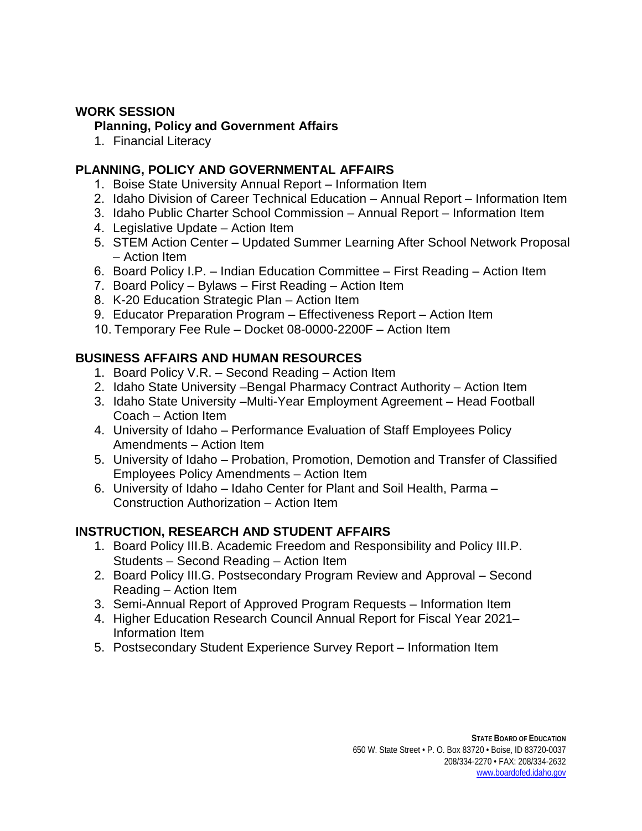#### **WORK SESSION**

#### **Planning, Policy and Government Affairs**

1. Financial Literacy

### **PLANNING, POLICY AND GOVERNMENTAL AFFAIRS**

- 1. Boise State University Annual Report Information Item
- 2. Idaho Division of Career Technical Education Annual Report Information Item
- 3. Idaho Public Charter School Commission Annual Report Information Item
- 4. Legislative Update Action Item
- 5. STEM Action Center Updated Summer Learning After School Network Proposal – Action Item
- 6. Board Policy I.P. Indian Education Committee First Reading Action Item
- 7. Board Policy Bylaws First Reading Action Item
- 8. K-20 Education Strategic Plan Action Item
- 9. Educator Preparation Program Effectiveness Report Action Item
- 10. Temporary Fee Rule Docket 08-0000-2200F Action Item

## **BUSINESS AFFAIRS AND HUMAN RESOURCES**

- 1. Board Policy V.R. Second Reading Action Item
- 2. Idaho State University –Bengal Pharmacy Contract Authority Action Item
- 3. Idaho State University –Multi-Year Employment Agreement Head Football Coach – Action Item
- 4. University of Idaho Performance Evaluation of Staff Employees Policy Amendments – Action Item
- 5. University of Idaho Probation, Promotion, Demotion and Transfer of Classified Employees Policy Amendments – Action Item
- 6. University of Idaho Idaho Center for Plant and Soil Health, Parma Construction Authorization – Action Item

# **INSTRUCTION, RESEARCH AND STUDENT AFFAIRS**

- 1. Board Policy III.B. Academic Freedom and Responsibility and Policy III.P. Students – Second Reading – Action Item
- 2. Board Policy III.G. Postsecondary Program Review and Approval Second Reading – Action Item
- 3. Semi-Annual Report of Approved Program Requests Information Item
- 4. Higher Education Research Council Annual Report for Fiscal Year 2021– Information Item
- 5. Postsecondary Student Experience Survey Report Information Item